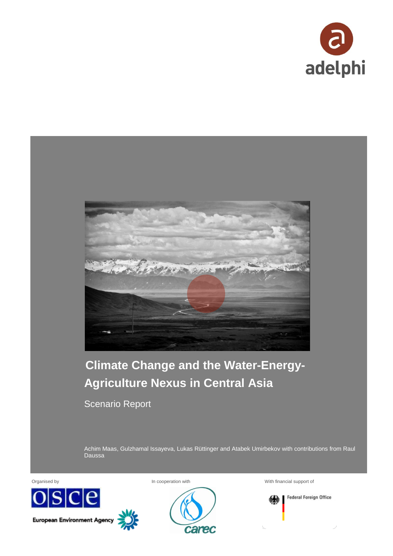



Achim Maas, Gulzhamal Issayeva, Lukas Rüttinger and Atabek Umirbekov with contributions from Raul Daussa





Organised by **In cooperation with** With financial support of **With financial support of** 

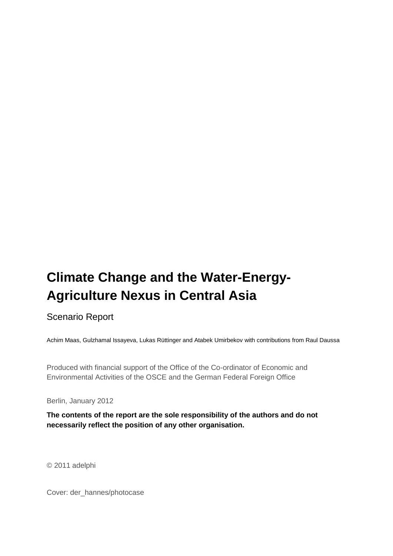# **Climate Change and the Water-Energy-Agriculture Nexus in Central Asia**

# Scenario Report

Achim Maas, Gulzhamal Issayeva, Lukas Rüttinger and Atabek Umirbekov with contributions from Raul Daussa

Produced with financial support of the Office of the Co-ordinator of Economic and Environmental Activities of the OSCE and the German Federal Foreign Office

Berlin, January 2012

**The contents of the report are the sole responsibility of the authors and do not necessarily reflect the position of any other organisation.**

© 2011 adelphi

Cover: der\_hannes/photocase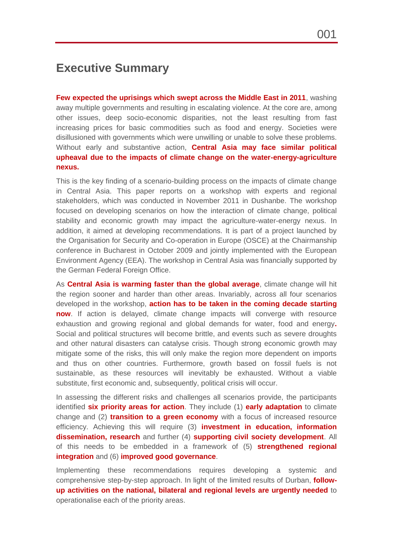# **Executive Summary**

**Few expected the uprisings which swept across the Middle East in 2011**, washing away multiple governments and resulting in escalating violence. At the core are, among other issues, deep socio-economic disparities, not the least resulting from fast increasing prices for basic commodities such as food and energy. Societies were disillusioned with governments which were unwilling or unable to solve these problems. Without early and substantive action, **Central Asia may face similar political upheaval due to the impacts of climate change on the water-energy-agriculture nexus.**

This is the key finding of a scenario-building process on the impacts of climate change in Central Asia. This paper reports on a workshop with experts and regional stakeholders, which was conducted in November 2011 in Dushanbe. The workshop focused on developing scenarios on how the interaction of climate change, political stability and economic growth may impact the agriculture-water-energy nexus. In addition, it aimed at developing recommendations. It is part of a project launched by the Organisation for Security and Co-operation in Europe (OSCE) at the Chairmanship conference in Bucharest in October 2009 and jointly implemented with the European Environment Agency (EEA). The workshop in Central Asia was financially supported by the German Federal Foreign Office.

As **Central Asia is warming faster than the global average**, climate change will hit the region sooner and harder than other areas. Invariably, across all four scenarios developed in the workshop, **action has to be taken in the coming decade starting now**. If action is delayed, climate change impacts will converge with resource exhaustion and growing regional and global demands for water, food and energy**.**  Social and political structures will become brittle, and events such as severe droughts and other natural disasters can catalyse crisis. Though strong economic growth may mitigate some of the risks, this will only make the region more dependent on imports and thus on other countries. Furthermore, growth based on fossil fuels is not sustainable, as these resources will inevitably be exhausted. Without a viable substitute, first economic and, subsequently, political crisis will occur.

In assessing the different risks and challenges all scenarios provide, the participants identified **six priority areas for action**. They include (1) **early adaptation** to climate change and (2) **transition to a green economy** with a focus of increased resource efficiency. Achieving this will require (3) **investment in education, information dissemination, research** and further (4) **supporting civil society development**. All of this needs to be embedded in a framework of (5) **strengthened regional integration** and (6) **improved good governance**.

Implementing these recommendations requires developing a systemic and comprehensive step-by-step approach. In light of the limited results of Durban, **followup activities on the national, bilateral and regional levels are urgently needed** to operationalise each of the priority areas.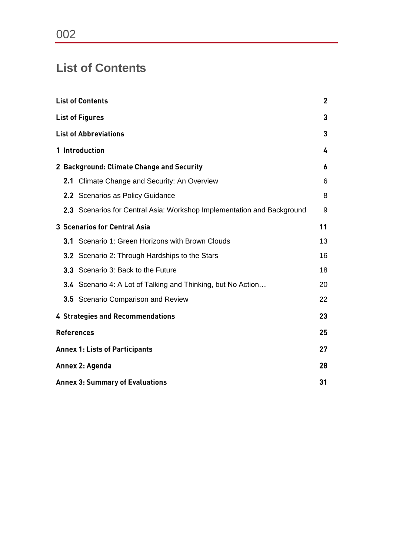# **List of Contents**

| <b>List of Contents</b>                      |                                                                        |    |  |
|----------------------------------------------|------------------------------------------------------------------------|----|--|
|                                              | <b>List of Figures</b>                                                 | 3  |  |
|                                              | <b>List of Abbreviations</b>                                           | 3  |  |
|                                              | 1 Introduction                                                         | 4  |  |
|                                              | 2 Background: Climate Change and Security                              | 6  |  |
| 2.1                                          | Climate Change and Security: An Overview                               | 6  |  |
|                                              | 2.2 Scenarios as Policy Guidance                                       | 8  |  |
|                                              | 2.3 Scenarios for Central Asia: Workshop Implementation and Background | 9  |  |
| <b>3 Scenarios for Central Asia</b><br>11    |                                                                        |    |  |
|                                              | 3.1 Scenario 1: Green Horizons with Brown Clouds                       | 13 |  |
|                                              | 3.2 Scenario 2: Through Hardships to the Stars                         | 16 |  |
|                                              | 3.3 Scenario 3: Back to the Future                                     | 18 |  |
|                                              | 3.4 Scenario 4: A Lot of Talking and Thinking, but No Action           | 20 |  |
|                                              | 3.5 Scenario Comparison and Review                                     | 22 |  |
|                                              | 4 Strategies and Recommendations                                       | 23 |  |
|                                              | <b>References</b>                                                      | 25 |  |
| <b>Annex 1: Lists of Participants</b>        |                                                                        |    |  |
| Annex 2: Agenda<br>28                        |                                                                        |    |  |
| <b>Annex 3: Summary of Evaluations</b><br>31 |                                                                        |    |  |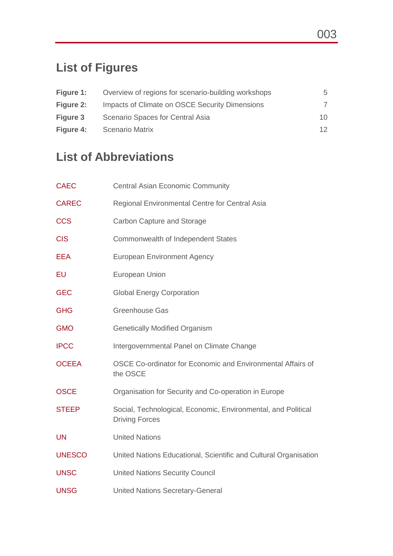# **List of Figures**

| Figure 1:        | Overview of regions for scenario-building workshops | 5  |
|------------------|-----------------------------------------------------|----|
| <b>Figure 2:</b> | Impacts of Climate on OSCE Security Dimensions      |    |
| Figure 3         | Scenario Spaces for Central Asia                    | 10 |
| Figure 4:        | <b>Scenario Matrix</b>                              | 12 |

# **List of Abbreviations**

| <b>CAEC</b>   | <b>Central Asian Economic Community</b>                                                |
|---------------|----------------------------------------------------------------------------------------|
| <b>CAREC</b>  | Regional Environmental Centre for Central Asia                                         |
| <b>CCS</b>    | Carbon Capture and Storage                                                             |
| <b>CIS</b>    | Commonwealth of Independent States                                                     |
| <b>EEA</b>    | <b>European Environment Agency</b>                                                     |
| EU            | European Union                                                                         |
| <b>GEC</b>    | <b>Global Energy Corporation</b>                                                       |
| <b>GHG</b>    | <b>Greenhouse Gas</b>                                                                  |
| <b>GMO</b>    | <b>Genetically Modified Organism</b>                                                   |
| <b>IPCC</b>   | Intergovernmental Panel on Climate Change                                              |
| <b>OCEEA</b>  | OSCE Co-ordinator for Economic and Environmental Affairs of<br>the OSCE                |
| <b>OSCE</b>   | Organisation for Security and Co-operation in Europe                                   |
| <b>STEEP</b>  | Social, Technological, Economic, Environmental, and Political<br><b>Driving Forces</b> |
| <b>UN</b>     | <b>United Nations</b>                                                                  |
| <b>UNESCO</b> | United Nations Educational, Scientific and Cultural Organisation                       |
| <b>UNSC</b>   | <b>United Nations Security Council</b>                                                 |
| <b>UNSG</b>   | <b>United Nations Secretary-General</b>                                                |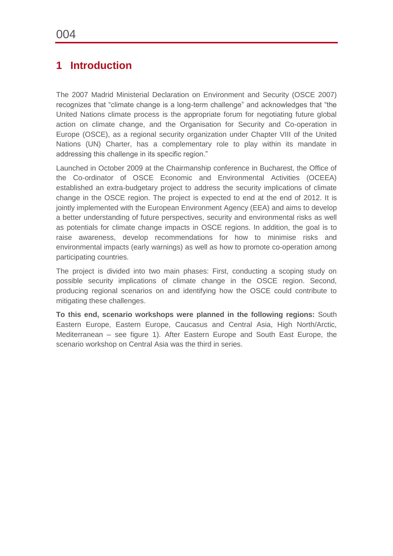# **1 Introduction**

The 2007 Madrid Ministerial Declaration on Environment and Security (OSCE 2007) recognizes that "climate change is a long-term challenge" and acknowledges that "the United Nations climate process is the appropriate forum for negotiating future global action on climate change, and the Organisation for Security and Co-operation in Europe (OSCE), as a regional security organization under Chapter VIII of the United Nations (UN) Charter, has a complementary role to play within its mandate in addressing this challenge in its specific region."

Launched in October 2009 at the Chairmanship conference in Bucharest, the Office of the Co-ordinator of OSCE Economic and Environmental Activities (OCEEA) established an extra-budgetary project to address the security implications of climate change in the OSCE region. The project is expected to end at the end of 2012. It is jointly implemented with the European Environment Agency (EEA) and aims to develop a better understanding of future perspectives, security and environmental risks as well as potentials for climate change impacts in OSCE regions. In addition, the goal is to raise awareness, develop recommendations for how to minimise risks and environmental impacts (early warnings) as well as how to promote co-operation among participating countries.

The project is divided into two main phases: First, conducting a scoping study on possible security implications of climate change in the OSCE region. Second, producing regional scenarios on and identifying how the OSCE could contribute to mitigating these challenges.

**To this end, scenario workshops were planned in the following regions:** South Eastern Europe, Eastern Europe, Caucasus and Central Asia, High North/Arctic, Mediterranean – see figure 1). After Eastern Europe and South East Europe, the scenario workshop on Central Asia was the third in series.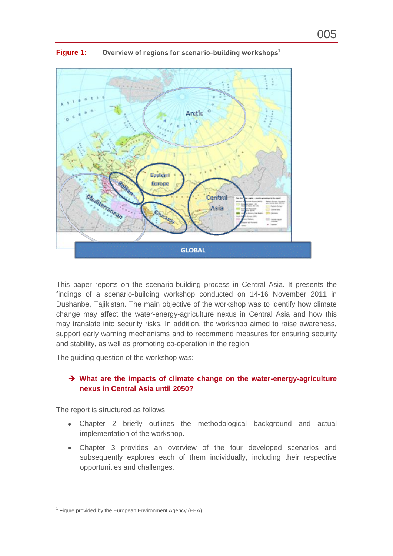

<span id="page-6-0"></span>**Figure 1:** Overview of regions for scenario-building workshops<sup>1</sup>

This paper reports on the scenario-building process in Central Asia. It presents the findings of a scenario-building workshop conducted on 14-16 November 2011 in Dushanbe, Tajikistan. The main objective of the workshop was to identify how climate change may affect the water-energy-agriculture nexus in Central Asia and how this may translate into security risks. In addition, the workshop aimed to raise awareness, support early warning mechanisms and to recommend measures for ensuring security and stability, as well as promoting co-operation in the region.

The guiding question of the workshop was:

#### **What are the impacts of climate change on the water-energy-agriculture nexus in Central Asia until 2050?**

The report is structured as follows:

- Chapter 2 briefly outlines the methodological background and actual implementation of the workshop.
- Chapter 3 provides an overview of the four developed scenarios and subsequently explores each of them individually, including their respective opportunities and challenges.

 $1$  Figure provided by the European Environment Agency (EEA).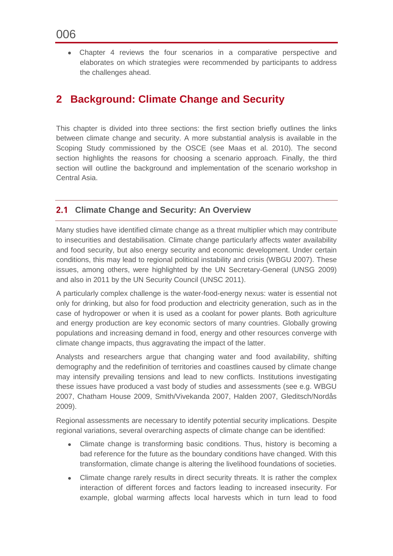Chapter 4 reviews the four scenarios in a comparative perspective and elaborates on which strategies were recommended by participants to address the challenges ahead.

# **2 Background: Climate Change and Security**

This chapter is divided into three sections: the first section briefly outlines the links between climate change and security. A more substantial analysis is available in the Scoping Study commissioned by the OSCE (see Maas et al. 2010). The second section highlights the reasons for choosing a scenario approach. Finally, the third section will outline the background and implementation of the scenario workshop in Central Asia.

### <span id="page-7-0"></span>**Climate Change and Security: An Overview**

Many studies have identified climate change as a threat multiplier which may contribute to insecurities and destabilisation. Climate change particularly affects water availability and food security, but also energy security and economic development. Under certain conditions, this may lead to regional political instability and crisis (WBGU 2007). These issues, among others, were highlighted by the UN Secretary-General (UNSG 2009) and also in 2011 by the UN Security Council (UNSC 2011).

A particularly complex challenge is the water-food-energy nexus: water is essential not only for drinking, but also for food production and electricity generation, such as in the case of hydropower or when it is used as a coolant for power plants. Both agriculture and energy production are key economic sectors of many countries. Globally growing populations and increasing demand in food, energy and other resources converge with climate change impacts, thus aggravating the impact of the latter.

Analysts and researchers argue that changing water and food availability, shifting demography and the redefinition of territories and coastlines caused by climate change may intensify prevailing tensions and lead to new conflicts. Institutions investigating these issues have produced a vast body of studies and assessments (see e.g. WBGU 2007, Chatham House 2009, Smith/Vivekanda 2007, Halden 2007, Gleditsch/Nordås 2009).

Regional assessments are necessary to identify potential security implications. Despite regional variations, several overarching aspects of climate change can be identified:

- Climate change is transforming basic conditions. Thus, history is becoming a bad reference for the future as the boundary conditions have changed. With this transformation, climate change is altering the livelihood foundations of societies.
- Climate change rarely results in direct security threats. It is rather the complex interaction of different forces and factors leading to increased insecurity. For example, global warming affects local harvests which in turn lead to food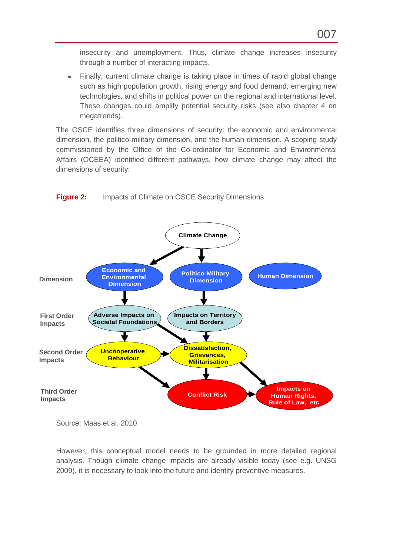insecurity and unemployment. Thus, climate change increases insecurity through a number of interacting impacts.

Finally, current climate change is taking place in times of rapid global change such as high population growth, rising energy and food demand, emerging new technologies, and shifts in political power on the regional and international level. These changes could amplify potential security risks (see also chapter 4 on megatrends).

The OSCE identifies three dimensions of security: the economic and environmental dimension, the politico-military dimension, and the human dimension. A scoping study commissioned by the Office of the Co-ordinator for Economic and Environmental Affairs (OCEEA) identified different pathways, how climate change may affect the dimensions of security:



<span id="page-8-0"></span>**Figure 2:** Impacts of Climate on OSCE Security Dimensions

Source: Maas et al. 2010

However, this conceptual model needs to be grounded in more detailed regional analysis. Though climate change impacts are already visible today (see e.g. UNSG 2009), it is necessary to look into the future and identify preventive measures.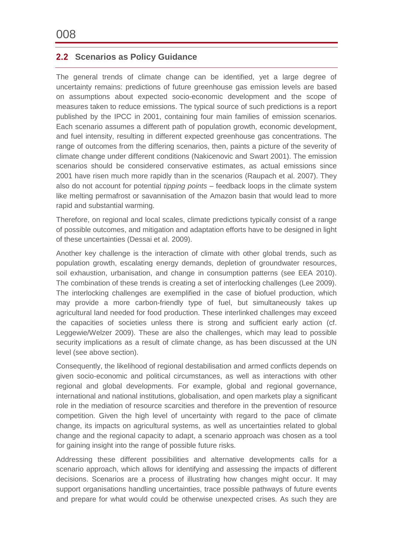# <span id="page-9-0"></span>**2.2 Scenarios as Policy Guidance**

The general trends of climate change can be identified, yet a large degree of uncertainty remains: predictions of future greenhouse gas emission levels are based on assumptions about expected socio-economic development and the scope of measures taken to reduce emissions. The typical source of such predictions is a report published by the IPCC in 2001, containing four main families of emission scenarios. Each scenario assumes a different path of population growth, economic development, and fuel intensity, resulting in different expected greenhouse gas concentrations. The range of outcomes from the differing scenarios, then, paints a picture of the severity of climate change under different conditions (Nakicenovic and Swart 2001). The emission scenarios should be considered conservative estimates, as actual emissions since 2001 have risen much more rapidly than in the scenarios (Raupach et al. 2007). They also do not account for potential *tipping points* – feedback loops in the climate system like melting permafrost or savannisation of the Amazon basin that would lead to more rapid and substantial warming.

Therefore, on regional and local scales, climate predictions typically consist of a range of possible outcomes, and mitigation and adaptation efforts have to be designed in light of these uncertainties (Dessai et al. 2009).

Another key challenge is the interaction of climate with other global trends, such as population growth, escalating energy demands, depletion of groundwater resources, soil exhaustion, urbanisation, and change in consumption patterns (see EEA 2010). The combination of these trends is creating a set of interlocking challenges (Lee 2009). The interlocking challenges are exemplified in the case of biofuel production, which may provide a more carbon-friendly type of fuel, but simultaneously takes up agricultural land needed for food production. These interlinked challenges may exceed the capacities of societies unless there is strong and sufficient early action (cf. Leggewie/Welzer 2009). These are also the challenges, which may lead to possible security implications as a result of climate change, as has been discussed at the UN level (see above section).

Consequently, the likelihood of regional destabilisation and armed conflicts depends on given socio-economic and political circumstances, as well as interactions with other regional and global developments. For example, global and regional governance, international and national institutions, globalisation, and open markets play a significant role in the mediation of resource scarcities and therefore in the prevention of resource competition. Given the high level of uncertainty with regard to the pace of climate change, its impacts on agricultural systems, as well as uncertainties related to global change and the regional capacity to adapt, a scenario approach was chosen as a tool for gaining insight into the range of possible future risks.

Addressing these different possibilities and alternative developments calls for a scenario approach, which allows for identifying and assessing the impacts of different decisions. Scenarios are a process of illustrating how changes might occur. It may support organisations handling uncertainties, trace possible pathways of future events and prepare for what would could be otherwise unexpected crises. As such they are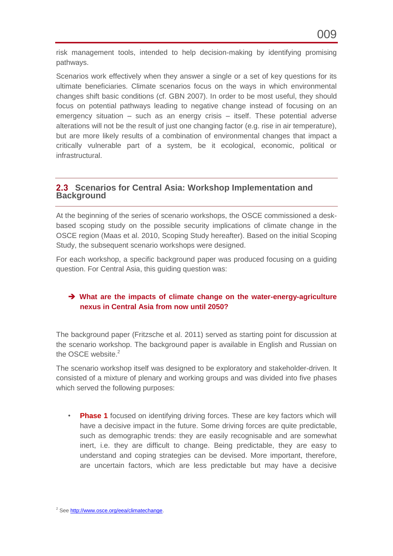Scenarios work effectively when they answer a single or a set of key questions for its ultimate beneficiaries. Climate scenarios focus on the ways in which environmental changes shift basic conditions (cf. GBN 2007). In order to be most useful, they should focus on potential pathways leading to negative change instead of focusing on an emergency situation – such as an energy crisis – itself. These potential adverse alterations will not be the result of just one changing factor (e.g. rise in air temperature), but are more likely results of a combination of environmental changes that impact a critically vulnerable part of a system, be it ecological, economic, political or infrastructural.

## <span id="page-10-0"></span>**Scenarios for Central Asia: Workshop Implementation and Background**

At the beginning of the series of scenario workshops, the OSCE commissioned a deskbased scoping study on the possible security implications of climate change in the OSCE region (Maas et al. 2010, Scoping Study hereafter). Based on the initial Scoping Study, the subsequent scenario workshops were designed.

For each workshop, a specific background paper was produced focusing on a guiding question. For Central Asia, this guiding question was:

## **What are the impacts of climate change on the water-energy-agriculture nexus in Central Asia from now until 2050?**

The background paper (Fritzsche et al. 2011) served as starting point for discussion at the scenario workshop. The background paper is available in English and Russian on the OSCE website.<sup>2</sup>

The scenario workshop itself was designed to be exploratory and stakeholder-driven. It consisted of a mixture of plenary and working groups and was divided into five phases which served the following purposes:

• **Phase 1** focused on identifying driving forces. These are key factors which will have a decisive impact in the future. Some driving forces are quite predictable, such as demographic trends: they are easily recognisable and are somewhat inert, i.e. they are difficult to change. Being predictable, they are easy to understand and coping strategies can be devised. More important, therefore, are uncertain factors, which are less predictable but may have a decisive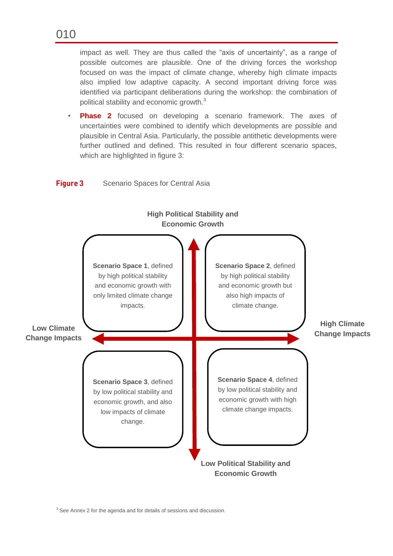impact as well. They are thus called the "axis of uncertainty", as a range of possible outcomes are plausible. One of the driving forces the workshop focused on was the impact of climate change, whereby high climate impacts also implied low adaptive capacity. A second important driving force was identified via participant deliberations during the workshop: the combination of political stability and economic growth.<sup>3</sup>

**Phase 2** focused on developing a scenario framework. The axes of uncertainties were combined to identify which developments are possible and plausible in Central Asia. Particularly, the possible antithetic developments were further outlined and defined. This resulted in four different scenario spaces, which are highlighted in figure 3:



#### <span id="page-11-0"></span>**Figure 3** Scenario Spaces for Central Asia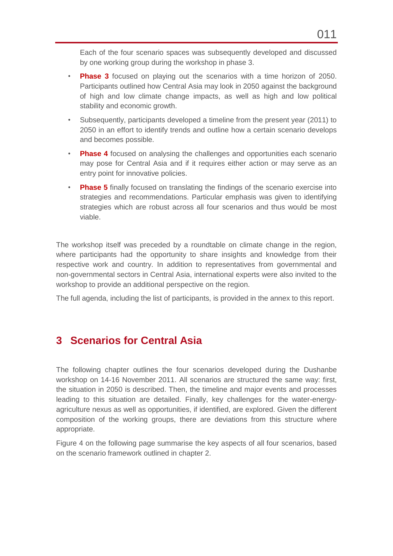Each of the four scenario spaces was subsequently developed and discussed by one working group during the workshop in phase 3.

- **Phase 3** focused on playing out the scenarios with a time horizon of 2050. Participants outlined how Central Asia may look in 2050 against the background of high and low climate change impacts, as well as high and low political stability and economic growth.
- Subsequently, participants developed a timeline from the present year (2011) to 2050 in an effort to identify trends and outline how a certain scenario develops and becomes possible.
- **Phase 4** focused on analysing the challenges and opportunities each scenario may pose for Central Asia and if it requires either action or may serve as an entry point for innovative policies.
- **Phase 5** finally focused on translating the findings of the scenario exercise into strategies and recommendations. Particular emphasis was given to identifying strategies which are robust across all four scenarios and thus would be most viable.

The workshop itself was preceded by a roundtable on climate change in the region, where participants had the opportunity to share insights and knowledge from their respective work and country. In addition to representatives from governmental and non-governmental sectors in Central Asia, international experts were also invited to the workshop to provide an additional perspective on the region.

The full agenda, including the list of participants, is provided in the annex to this report.

# **3 Scenarios for Central Asia**

The following chapter outlines the four scenarios developed during the Dushanbe workshop on 14-16 November 2011. All scenarios are structured the same way: first, the situation in 2050 is described. Then, the timeline and major events and processes leading to this situation are detailed. Finally, key challenges for the water-energyagriculture nexus as well as opportunities, if identified, are explored. Given the different composition of the working groups, there are deviations from this structure where appropriate.

Figure 4 on the following page summarise the key aspects of all four scenarios, based on the scenario framework outlined in chapter 2.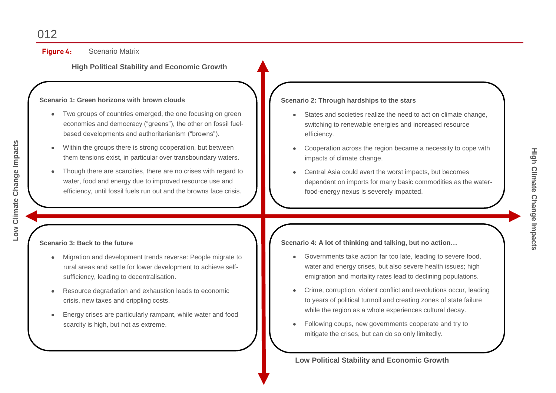Figure 4: Scenario Matrix

**High Political Stability and Economic Growth**

#### **Scenario 1: Green horizons with brown clouds**

- Two groups of countries emerged, the one focusing on green economies and democracy ("greens"), the other on fossil fuelbased developments and authoritarianism ("browns").
- Within the groups there is strong cooperation, but between them tensions exist, in particular over transboundary waters.
- Though there are scarcities, there are no crises with regard to water, food and energy due to improved resource use and efficiency, until fossil fuels run out and the browns face crisis.

#### **Scenario 3: Back to the future**

- Migration and development trends reverse: People migrate to rural areas and settle for lower development to achieve selfsufficiency, leading to decentralisation.
- Resource degradation and exhaustion leads to economic crisis, new taxes and crippling costs.
- Energy crises are particularly rampant, while water and food scarcity is high, but not as extreme.

#### **Scenario 2: Through hardships to the stars**

- States and societies realize the need to act on climate change, switching to renewable energies and increased resource efficiency.
- Cooperation across the region became a necessity to cope with  $\bullet$ impacts of climate change.
- Central Asia could avert the worst impacts, but becomes dependent on imports for many basic commodities as the waterfood-energy nexus is severely impacted.

**Scenario 4: A lot of thinking and talking, but no action…**

- Governments take action far too late, leading to severe food, water and energy crises, but also severe health issues; high emigration and mortality rates lead to declining populations.
- Crime, corruption, violent conflict and revolutions occur, leading  $\bullet$ to years of political turmoil and creating zones of state failure while the region as a whole experiences cultural decay.
- Following coups, new governments cooperate and try to  $\bullet$ mitigate the crises, but can do so only limitedly.

**High Climate Change Impacts**

**Low Political Stability and Economic Growth**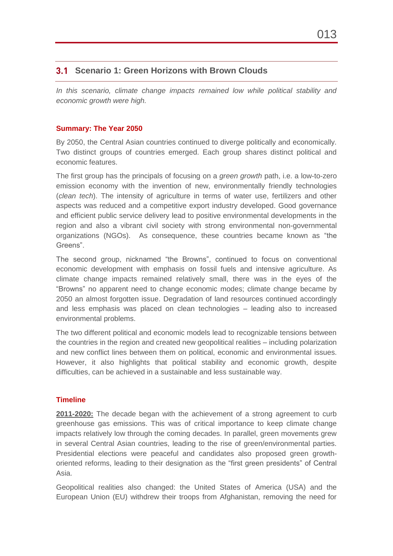# <span id="page-14-0"></span>**Scenario 1: Green Horizons with Brown Clouds**

In this scenario, climate change impacts remained low while political stability and *economic growth were high.*

#### **Summary: The Year 2050**

By 2050, the Central Asian countries continued to diverge politically and economically. Two distinct groups of countries emerged. Each group shares distinct political and economic features.

The first group has the principals of focusing on a *green growth* path, i.e. a low-to-zero emission economy with the invention of new, environmentally friendly technologies (*clean tech*). The intensity of agriculture in terms of water use, fertilizers and other aspects was reduced and a competitive export industry developed. Good governance and efficient public service delivery lead to positive environmental developments in the region and also a vibrant civil society with strong environmental non-governmental organizations (NGOs). As consequence, these countries became known as "the Greens".

The second group, nicknamed "the Browns", continued to focus on conventional economic development with emphasis on fossil fuels and intensive agriculture. As climate change impacts remained relatively small, there was in the eyes of the "Browns" no apparent need to change economic modes; climate change became by 2050 an almost forgotten issue. Degradation of land resources continued accordingly and less emphasis was placed on clean technologies – leading also to increased environmental problems.

The two different political and economic models lead to recognizable tensions between the countries in the region and created new geopolitical realities – including polarization and new conflict lines between them on political, economic and environmental issues. However, it also highlights that political stability and economic growth, despite difficulties, can be achieved in a sustainable and less sustainable way.

#### **Timeline**

**2011-2020:** The decade began with the achievement of a strong agreement to curb greenhouse gas emissions. This was of critical importance to keep climate change impacts relatively low through the coming decades. In parallel, green movements grew in several Central Asian countries, leading to the rise of green/environmental parties. Presidential elections were peaceful and candidates also proposed green growthoriented reforms, leading to their designation as the "first green presidents" of Central Asia.

Geopolitical realities also changed: the United States of America (USA) and the European Union (EU) withdrew their troops from Afghanistan, removing the need for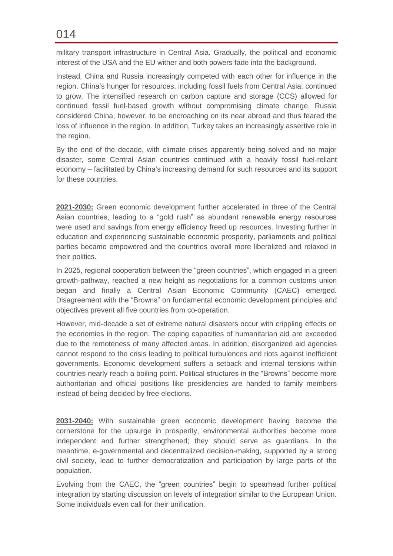military transport infrastructure in Central Asia. Gradually, the political and economic interest of the USA and the EU wither and both powers fade into the background.

Instead, China and Russia increasingly competed with each other for influence in the region. China's hunger for resources, including fossil fuels from Central Asia, continued to grow. The intensified research on carbon capture and storage (CCS) allowed for continued fossil fuel-based growth without compromising climate change. Russia considered China, however, to be encroaching on its near abroad and thus feared the loss of influence in the region. In addition, Turkey takes an increasingly assertive role in the region.

By the end of the decade, with climate crises apparently being solved and no major disaster, some Central Asian countries continued with a heavily fossil fuel-reliant economy – facilitated by China's increasing demand for such resources and its support for these countries.

**2021-2030:** Green economic development further accelerated in three of the Central Asian countries, leading to a "gold rush" as abundant renewable energy resources were used and savings from energy efficiency freed up resources. Investing further in education and experiencing sustainable economic prosperity, parliaments and political parties became empowered and the countries overall more liberalized and relaxed in their politics.

In 2025, regional cooperation between the "green countries", which engaged in a green growth-pathway, reached a new height as negotiations for a common customs union began and finally a Central Asian Economic Community (CAEC) emerged. Disagreement with the "Browns" on fundamental economic development principles and objectives prevent all five countries from co-operation.

However, mid-decade a set of extreme natural disasters occur with crippling effects on the economies in the region. The coping capacities of humanitarian aid are exceeded due to the remoteness of many affected areas. In addition, disorganized aid agencies cannot respond to the crisis leading to political turbulences and riots against inefficient governments. Economic development suffers a setback and internal tensions within countries nearly reach a boiling point. Political structures in the "Browns" become more authoritarian and official positions like presidencies are handed to family members instead of being decided by free elections.

**2031-2040:** With sustainable green economic development having become the cornerstone for the upsurge in prosperity, environmental authorities become more independent and further strengthened; they should serve as guardians. In the meantime, e-governmental and decentralized decision-making, supported by a strong civil society, lead to further democratization and participation by large parts of the population.

Evolving from the CAEC, the "green countries" begin to spearhead further political integration by starting discussion on levels of integration similar to the European Union. Some individuals even call for their unification.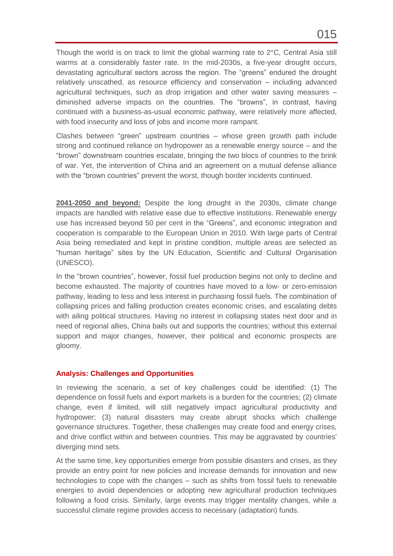Though the world is on track to limit the global warming rate to 2°C, Central Asia still warms at a considerably faster rate. In the mid-2030s, a five-year drought occurs, devastating agricultural sectors across the region. The "greens" endured the drought relatively unscathed, as resource efficiency and conservation – including advanced agricultural techniques, such as drop irrigation and other water saving measures – diminished adverse impacts on the countries. The "browns", in contrast, having continued with a business-as-usual economic pathway, were relatively more affected, with food insecurity and loss of jobs and income more rampant.

Clashes between "green" upstream countries – whose green growth path include strong and continued reliance on hydropower as a renewable energy source – and the "brown" downstream countries escalate, bringing the two blocs of countries to the brink of war. Yet, the intervention of China and an agreement on a mutual defense alliance with the "brown countries" prevent the worst, though border incidents continued.

**2041-2050 and beyond:** Despite the long drought in the 2030s, climate change impacts are handled with relative ease due to effective institutions. Renewable energy use has increased beyond 50 per cent in the "Greens", and economic integration and cooperation is comparable to the European Union in 2010. With large parts of Central Asia being remediated and kept in pristine condition, multiple areas are selected as "human heritage" sites by the UN Education, Scientific and Cultural Organisation (UNESCO).

In the "brown countries", however, fossil fuel production begins not only to decline and become exhausted. The majority of countries have moved to a low- or zero-emission pathway, leading to less and less interest in purchasing fossil fuels. The combination of collapsing prices and falling production creates economic crises, and escalating debts with ailing political structures. Having no interest in collapsing states next door and in need of regional allies, China bails out and supports the countries; without this external support and major changes, however, their political and economic prospects are gloomy.

#### **Analysis: Challenges and Opportunities**

In reviewing the scenario, a set of key challenges could be identified: (1) The dependence on fossil fuels and export markets is a burden for the countries; (2) climate change, even if limited, will still negatively impact agricultural productivity and hydropower; (3) natural disasters may create abrupt shocks which challenge governance structures. Together, these challenges may create food and energy crises, and drive conflict within and between countries. This may be aggravated by countries' diverging mind sets.

At the same time, key opportunities emerge from possible disasters and crises, as they provide an entry point for new policies and increase demands for innovation and new technologies to cope with the changes – such as shifts from fossil fuels to renewable energies to avoid dependencies or adopting new agricultural production techniques following a food crisis. Similarly, large events may trigger mentality changes, while a successful climate regime provides access to necessary (adaptation) funds.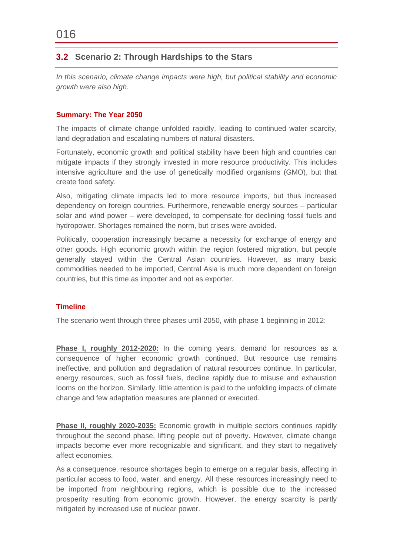# <span id="page-17-0"></span>**Scenario 2: Through Hardships to the Stars**

*In this scenario, climate change impacts were high, but political stability and economic growth were also high.* 

#### **Summary: The Year 2050**

The impacts of climate change unfolded rapidly, leading to continued water scarcity, land degradation and escalating numbers of natural disasters.

Fortunately, economic growth and political stability have been high and countries can mitigate impacts if they strongly invested in more resource productivity. This includes intensive agriculture and the use of genetically modified organisms (GMO), but that create food safety.

Also, mitigating climate impacts led to more resource imports, but thus increased dependency on foreign countries. Furthermore, renewable energy sources – particular solar and wind power – were developed, to compensate for declining fossil fuels and hydropower. Shortages remained the norm, but crises were avoided.

Politically, cooperation increasingly became a necessity for exchange of energy and other goods. High economic growth within the region fostered migration, but people generally stayed within the Central Asian countries. However, as many basic commodities needed to be imported, Central Asia is much more dependent on foreign countries, but this time as importer and not as exporter.

#### **Timeline**

The scenario went through three phases until 2050, with phase 1 beginning in 2012:

**Phase I, roughly 2012-2020:** In the coming years, demand for resources as a consequence of higher economic growth continued. But resource use remains ineffective, and pollution and degradation of natural resources continue. In particular, energy resources, such as fossil fuels, decline rapidly due to misuse and exhaustion looms on the horizon. Similarly, little attention is paid to the unfolding impacts of climate change and few adaptation measures are planned or executed.

**Phase II, roughly 2020-2035:** Economic growth in multiple sectors continues rapidly throughout the second phase, lifting people out of poverty. However, climate change impacts become ever more recognizable and significant, and they start to negatively affect economies.

As a consequence, resource shortages begin to emerge on a regular basis, affecting in particular access to food, water, and energy. All these resources increasingly need to be imported from neighbouring regions, which is possible due to the increased prosperity resulting from economic growth. However, the energy scarcity is partly mitigated by increased use of nuclear power.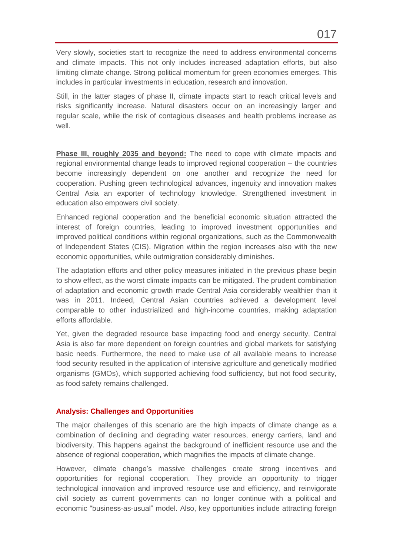Very slowly, societies start to recognize the need to address environmental concerns and climate impacts. This not only includes increased adaptation efforts, but also limiting climate change. Strong political momentum for green economies emerges. This includes in particular investments in education, research and innovation.

Still, in the latter stages of phase II, climate impacts start to reach critical levels and risks significantly increase. Natural disasters occur on an increasingly larger and regular scale, while the risk of contagious diseases and health problems increase as well.

**Phase III, roughly 2035 and beyond:** The need to cope with climate impacts and regional environmental change leads to improved regional cooperation – the countries become increasingly dependent on one another and recognize the need for cooperation. Pushing green technological advances, ingenuity and innovation makes Central Asia an exporter of technology knowledge. Strengthened investment in education also empowers civil society.

Enhanced regional cooperation and the beneficial economic situation attracted the interest of foreign countries, leading to improved investment opportunities and improved political conditions within regional organizations, such as the Commonwealth of Independent States (CIS). Migration within the region increases also with the new economic opportunities, while outmigration considerably diminishes.

The adaptation efforts and other policy measures initiated in the previous phase begin to show effect, as the worst climate impacts can be mitigated. The prudent combination of adaptation and economic growth made Central Asia considerably wealthier than it was in 2011. Indeed, Central Asian countries achieved a development level comparable to other industrialized and high-income countries, making adaptation efforts affordable.

Yet, given the degraded resource base impacting food and energy security, Central Asia is also far more dependent on foreign countries and global markets for satisfying basic needs. Furthermore, the need to make use of all available means to increase food security resulted in the application of intensive agriculture and genetically modified organisms (GMOs), which supported achieving food sufficiency, but not food security, as food safety remains challenged.

#### **Analysis: Challenges and Opportunities**

The major challenges of this scenario are the high impacts of climate change as a combination of declining and degrading water resources, energy carriers, land and biodiversity. This happens against the background of inefficient resource use and the absence of regional cooperation, which magnifies the impacts of climate change.

However, climate change's massive challenges create strong incentives and opportunities for regional cooperation. They provide an opportunity to trigger technological innovation and improved resource use and efficiency, and reinvigorate civil society as current governments can no longer continue with a political and economic "business-as-usual" model. Also, key opportunities include attracting foreign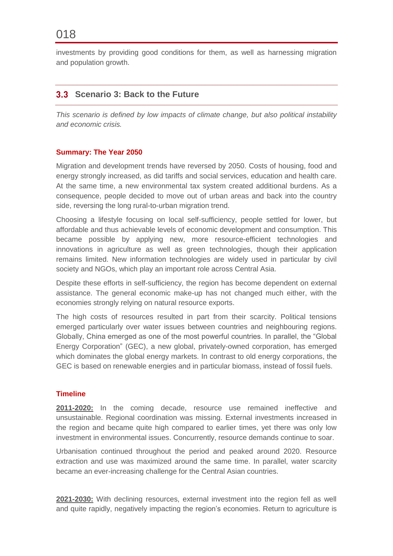investments by providing good conditions for them, as well as harnessing migration and population growth.

## <span id="page-19-0"></span>**Scenario 3: Back to the Future**

*This scenario is defined by low impacts of climate change, but also political instability and economic crisis.*

#### **Summary: The Year 2050**

Migration and development trends have reversed by 2050. Costs of housing, food and energy strongly increased, as did tariffs and social services, education and health care. At the same time, a new environmental tax system created additional burdens. As a consequence, people decided to move out of urban areas and back into the country side, reversing the long rural-to-urban migration trend.

Choosing a lifestyle focusing on local self-sufficiency, people settled for lower, but affordable and thus achievable levels of economic development and consumption. This became possible by applying new, more resource-efficient technologies and innovations in agriculture as well as green technologies, though their application remains limited. New information technologies are widely used in particular by civil society and NGOs, which play an important role across Central Asia.

Despite these efforts in self-sufficiency, the region has become dependent on external assistance. The general economic make-up has not changed much either, with the economies strongly relying on natural resource exports.

The high costs of resources resulted in part from their scarcity. Political tensions emerged particularly over water issues between countries and neighbouring regions. Globally, China emerged as one of the most powerful countries. In parallel, the "Global Energy Corporation" (GEC), a new global, privately-owned corporation, has emerged which dominates the global energy markets. In contrast to old energy corporations, the GEC is based on renewable energies and in particular biomass, instead of fossil fuels.

#### **Timeline**

**2011-2020:** In the coming decade, resource use remained ineffective and unsustainable. Regional coordination was missing. External investments increased in the region and became quite high compared to earlier times, yet there was only low investment in environmental issues. Concurrently, resource demands continue to soar.

Urbanisation continued throughout the period and peaked around 2020. Resource extraction and use was maximized around the same time. In parallel, water scarcity became an ever-increasing challenge for the Central Asian countries.

**2021-2030:** With declining resources, external investment into the region fell as well and quite rapidly, negatively impacting the region's economies. Return to agriculture is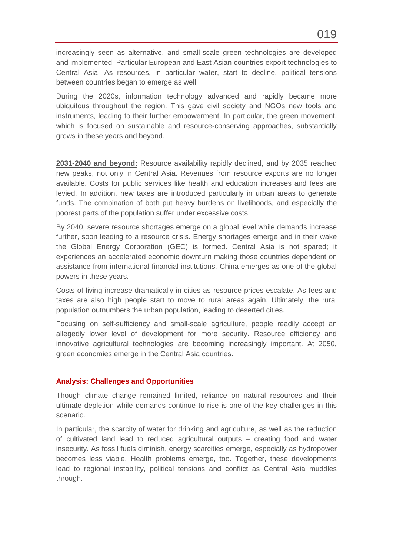increasingly seen as alternative, and small-scale green technologies are developed and implemented. Particular European and East Asian countries export technologies to Central Asia. As resources, in particular water, start to decline, political tensions between countries began to emerge as well.

During the 2020s, information technology advanced and rapidly became more ubiquitous throughout the region. This gave civil society and NGOs new tools and instruments, leading to their further empowerment. In particular, the green movement, which is focused on sustainable and resource-conserving approaches, substantially grows in these years and beyond.

**2031-2040 and beyond:** Resource availability rapidly declined, and by 2035 reached new peaks, not only in Central Asia. Revenues from resource exports are no longer available. Costs for public services like health and education increases and fees are levied. In addition, new taxes are introduced particularly in urban areas to generate funds. The combination of both put heavy burdens on livelihoods, and especially the poorest parts of the population suffer under excessive costs.

By 2040, severe resource shortages emerge on a global level while demands increase further, soon leading to a resource crisis. Energy shortages emerge and in their wake the Global Energy Corporation (GEC) is formed. Central Asia is not spared; it experiences an accelerated economic downturn making those countries dependent on assistance from international financial institutions. China emerges as one of the global powers in these years.

Costs of living increase dramatically in cities as resource prices escalate. As fees and taxes are also high people start to move to rural areas again. Ultimately, the rural population outnumbers the urban population, leading to deserted cities.

Focusing on self-sufficiency and small-scale agriculture, people readily accept an allegedly lower level of development for more security. Resource efficiency and innovative agricultural technologies are becoming increasingly important. At 2050, green economies emerge in the Central Asia countries.

#### **Analysis: Challenges and Opportunities**

Though climate change remained limited, reliance on natural resources and their ultimate depletion while demands continue to rise is one of the key challenges in this scenario.

In particular, the scarcity of water for drinking and agriculture, as well as the reduction of cultivated land lead to reduced agricultural outputs – creating food and water insecurity. As fossil fuels diminish, energy scarcities emerge, especially as hydropower becomes less viable. Health problems emerge, too. Together, these developments lead to regional instability, political tensions and conflict as Central Asia muddles through.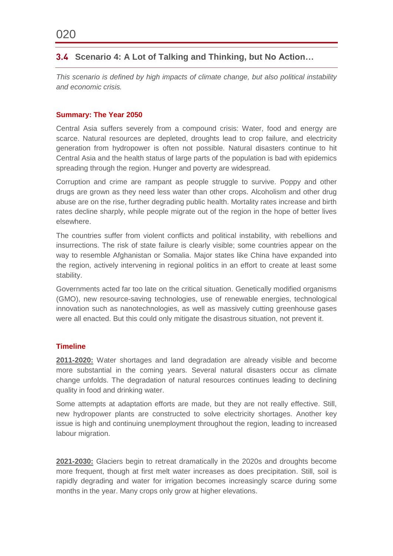# <span id="page-21-0"></span>**Scenario 4: A Lot of Talking and Thinking, but No Action…**

*This scenario is defined by high impacts of climate change, but also political instability and economic crisis.*

#### **Summary: The Year 2050**

Central Asia suffers severely from a compound crisis: Water, food and energy are scarce. Natural resources are depleted, droughts lead to crop failure, and electricity generation from hydropower is often not possible. Natural disasters continue to hit Central Asia and the health status of large parts of the population is bad with epidemics spreading through the region. Hunger and poverty are widespread.

Corruption and crime are rampant as people struggle to survive. Poppy and other drugs are grown as they need less water than other crops. Alcoholism and other drug abuse are on the rise, further degrading public health. Mortality rates increase and birth rates decline sharply, while people migrate out of the region in the hope of better lives elsewhere.

The countries suffer from violent conflicts and political instability, with rebellions and insurrections. The risk of state failure is clearly visible; some countries appear on the way to resemble Afghanistan or Somalia. Major states like China have expanded into the region, actively intervening in regional politics in an effort to create at least some stability.

Governments acted far too late on the critical situation. Genetically modified organisms (GMO), new resource-saving technologies, use of renewable energies, technological innovation such as nanotechnologies, as well as massively cutting greenhouse gases were all enacted. But this could only mitigate the disastrous situation, not prevent it.

#### **Timeline**

**2011-2020:** Water shortages and land degradation are already visible and become more substantial in the coming years. Several natural disasters occur as climate change unfolds. The degradation of natural resources continues leading to declining quality in food and drinking water.

Some attempts at adaptation efforts are made, but they are not really effective. Still, new hydropower plants are constructed to solve electricity shortages. Another key issue is high and continuing unemployment throughout the region, leading to increased labour migration.

**2021-2030:** Glaciers begin to retreat dramatically in the 2020s and droughts become more frequent, though at first melt water increases as does precipitation. Still, soil is rapidly degrading and water for irrigation becomes increasingly scarce during some months in the year. Many crops only grow at higher elevations.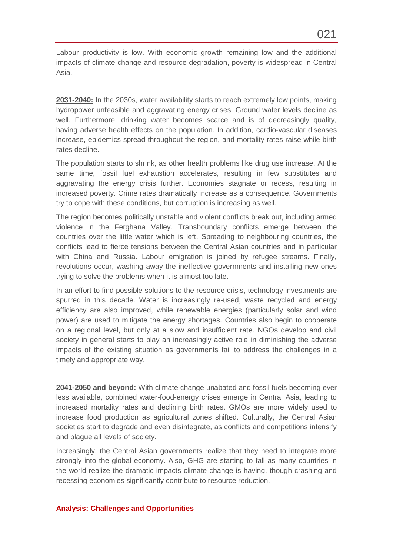Labour productivity is low. With economic growth remaining low and the additional impacts of climate change and resource degradation, poverty is widespread in Central Asia.

**2031-2040:** In the 2030s, water availability starts to reach extremely low points, making hydropower unfeasible and aggravating energy crises. Ground water levels decline as well. Furthermore, drinking water becomes scarce and is of decreasingly quality, having adverse health effects on the population. In addition, cardio-vascular diseases increase, epidemics spread throughout the region, and mortality rates raise while birth rates decline.

The population starts to shrink, as other health problems like drug use increase. At the same time, fossil fuel exhaustion accelerates, resulting in few substitutes and aggravating the energy crisis further. Economies stagnate or recess, resulting in increased poverty. Crime rates dramatically increase as a consequence. Governments try to cope with these conditions, but corruption is increasing as well.

The region becomes politically unstable and violent conflicts break out, including armed violence in the Ferghana Valley. Transboundary conflicts emerge between the countries over the little water which is left. Spreading to neighbouring countries, the conflicts lead to fierce tensions between the Central Asian countries and in particular with China and Russia. Labour emigration is joined by refugee streams. Finally, revolutions occur, washing away the ineffective governments and installing new ones trying to solve the problems when it is almost too late.

In an effort to find possible solutions to the resource crisis, technology investments are spurred in this decade. Water is increasingly re-used, waste recycled and energy efficiency are also improved, while renewable energies (particularly solar and wind power) are used to mitigate the energy shortages. Countries also begin to cooperate on a regional level, but only at a slow and insufficient rate. NGOs develop and civil society in general starts to play an increasingly active role in diminishing the adverse impacts of the existing situation as governments fail to address the challenges in a timely and appropriate way.

**2041-2050 and beyond:** With climate change unabated and fossil fuels becoming ever less available, combined water-food-energy crises emerge in Central Asia, leading to increased mortality rates and declining birth rates. GMOs are more widely used to increase food production as agricultural zones shifted. Culturally, the Central Asian societies start to degrade and even disintegrate, as conflicts and competitions intensify and plague all levels of society.

Increasingly, the Central Asian governments realize that they need to integrate more strongly into the global economy. Also, GHG are starting to fall as many countries in the world realize the dramatic impacts climate change is having, though crashing and recessing economies significantly contribute to resource reduction.

#### **Analysis: Challenges and Opportunities**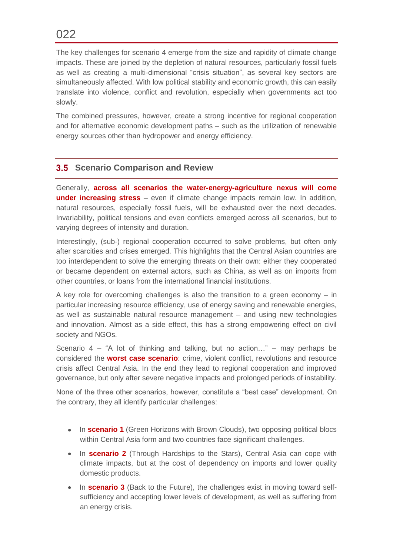The key challenges for scenario 4 emerge from the size and rapidity of climate change impacts. These are joined by the depletion of natural resources, particularly fossil fuels as well as creating a multi-dimensional "crisis situation", as several key sectors are simultaneously affected. With low political stability and economic growth, this can easily translate into violence, conflict and revolution, especially when governments act too slowly.

The combined pressures, however, create a strong incentive for regional cooperation and for alternative economic development paths – such as the utilization of renewable energy sources other than hydropower and energy efficiency.

# <span id="page-23-0"></span>**Scenario Comparison and Review**

Generally, **across all scenarios the water-energy-agriculture nexus will come under increasing stress** – even if climate change impacts remain low. In addition, natural resources, especially fossil fuels, will be exhausted over the next decades. Invariability, political tensions and even conflicts emerged across all scenarios, but to varying degrees of intensity and duration.

Interestingly, (sub-) regional cooperation occurred to solve problems, but often only after scarcities and crises emerged. This highlights that the Central Asian countries are too interdependent to solve the emerging threats on their own: either they cooperated or became dependent on external actors, such as China, as well as on imports from other countries, or loans from the international financial institutions.

A key role for overcoming challenges is also the transition to a green economy – in particular increasing resource efficiency, use of energy saving and renewable energies, as well as sustainable natural resource management – and using new technologies and innovation. Almost as a side effect, this has a strong empowering effect on civil society and NGOs.

Scenario 4 – "A lot of thinking and talking, but no action…" – may perhaps be considered the **worst case scenario**: crime, violent conflict, revolutions and resource crisis affect Central Asia. In the end they lead to regional cooperation and improved governance, but only after severe negative impacts and prolonged periods of instability.

None of the three other scenarios, however, constitute a "best case" development. On the contrary, they all identify particular challenges:

- In **scenario 1** (Green Horizons with Brown Clouds), two opposing political blocs within Central Asia form and two countries face significant challenges.
- In **scenario 2** (Through Hardships to the Stars), Central Asia can cope with climate impacts, but at the cost of dependency on imports and lower quality domestic products.
- In **scenario 3** (Back to the Future), the challenges exist in moving toward selfsufficiency and accepting lower levels of development, as well as suffering from an energy crisis.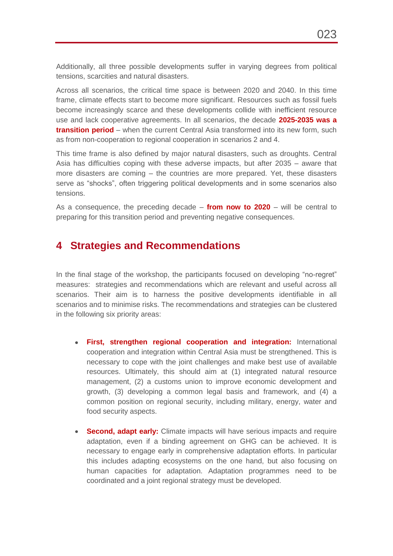Additionally, all three possible developments suffer in varying degrees from political tensions, scarcities and natural disasters.

Across all scenarios, the critical time space is between 2020 and 2040. In this time frame, climate effects start to become more significant. Resources such as fossil fuels become increasingly scarce and these developments collide with inefficient resource use and lack cooperative agreements. In all scenarios, the decade **2025-2035 was a transition period** – when the current Central Asia transformed into its new form, such as from non-cooperation to regional cooperation in scenarios 2 and 4.

This time frame is also defined by major natural disasters, such as droughts. Central Asia has difficulties coping with these adverse impacts, but after 2035 – aware that more disasters are coming – the countries are more prepared. Yet, these disasters serve as "shocks", often triggering political developments and in some scenarios also tensions.

As a consequence, the preceding decade – **from now to 2020** – will be central to preparing for this transition period and preventing negative consequences.

# **4 Strategies and Recommendations**

In the final stage of the workshop, the participants focused on developing "no-regret" measures: strategies and recommendations which are relevant and useful across all scenarios. Their aim is to harness the positive developments identifiable in all scenarios and to minimise risks. The recommendations and strategies can be clustered in the following six priority areas:

- **First, strengthen regional cooperation and integration:** International cooperation and integration within Central Asia must be strengthened. This is necessary to cope with the joint challenges and make best use of available resources. Ultimately, this should aim at (1) integrated natural resource management, (2) a customs union to improve economic development and growth, (3) developing a common legal basis and framework, and (4) a common position on regional security, including military, energy, water and food security aspects.
- **Second, adapt early:** Climate impacts will have serious impacts and require  $\bullet$ adaptation, even if a binding agreement on GHG can be achieved. It is necessary to engage early in comprehensive adaptation efforts. In particular this includes adapting ecosystems on the one hand, but also focusing on human capacities for adaptation. Adaptation programmes need to be coordinated and a joint regional strategy must be developed.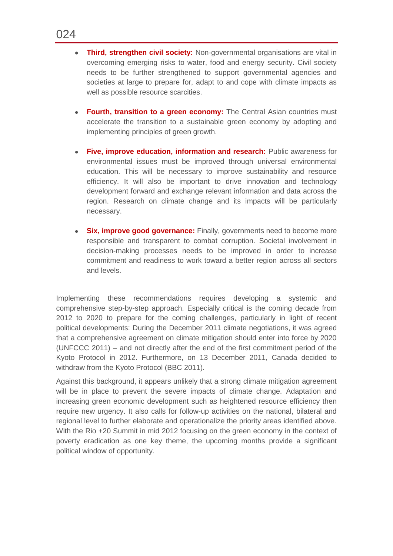- **Third, strengthen civil society:** Non-governmental organisations are vital in overcoming emerging risks to water, food and energy security. Civil society needs to be further strengthened to support governmental agencies and societies at large to prepare for, adapt to and cope with climate impacts as well as possible resource scarcities.
- **Fourth, transition to a green economy:** The Central Asian countries must accelerate the transition to a sustainable green economy by adopting and implementing principles of green growth.
- **Five, improve education, information and research:** Public awareness for environmental issues must be improved through universal environmental education. This will be necessary to improve sustainability and resource efficiency. It will also be important to drive innovation and technology development forward and exchange relevant information and data across the region. Research on climate change and its impacts will be particularly necessary.
- **Six, improve good governance:** Finally, governments need to become more  $\bullet$ responsible and transparent to combat corruption. Societal involvement in decision-making processes needs to be improved in order to increase commitment and readiness to work toward a better region across all sectors and levels.

Implementing these recommendations requires developing a systemic and comprehensive step-by-step approach. Especially critical is the coming decade from 2012 to 2020 to prepare for the coming challenges, particularly in light of recent political developments: During the December 2011 climate negotiations, it was agreed that a comprehensive agreement on climate mitigation should enter into force by 2020 (UNFCCC 2011) – and not directly after the end of the first commitment period of the Kyoto Protocol in 2012. Furthermore, on 13 December 2011, Canada decided to withdraw from the Kyoto Protocol (BBC 2011).

Against this background, it appears unlikely that a strong climate mitigation agreement will be in place to prevent the severe impacts of climate change. Adaptation and increasing green economic development such as heightened resource efficiency then require new urgency. It also calls for follow-up activities on the national, bilateral and regional level to further elaborate and operationalize the priority areas identified above. With the Rio +20 Summit in mid 2012 focusing on the green economy in the context of poverty eradication as one key theme, the upcoming months provide a significant political window of opportunity.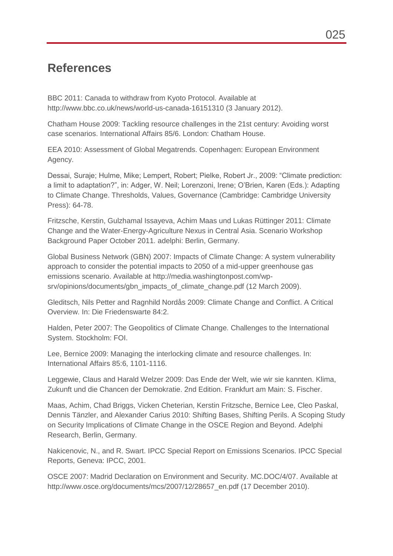# **References**

BBC 2011: Canada to withdraw from Kyoto Protocol. Available at http://www.bbc.co.uk/news/world-us-canada-16151310 (3 January 2012).

Chatham House 2009: Tackling resource challenges in the 21st century: Avoiding worst case scenarios. International Affairs 85/6. London: Chatham House.

EEA 2010: Assessment of Global Megatrends. Copenhagen: European Environment Agency.

Dessai, Suraje; Hulme, Mike; Lempert, Robert; Pielke, Robert Jr., 2009: "Climate prediction: a limit to adaptation?", in: Adger, W. Neil; Lorenzoni, Irene; O'Brien, Karen (Eds.): Adapting to Climate Change. Thresholds, Values, Governance (Cambridge: Cambridge University Press): 64-78.

Fritzsche, Kerstin, Gulzhamal Issayeva, Achim Maas und Lukas Rüttinger 2011: Climate Change and the Water-Energy-Agriculture Nexus in Central Asia. Scenario Workshop Background Paper October 2011. adelphi: Berlin, Germany.

Global Business Network (GBN) 2007: Impacts of Climate Change: A system vulnerability approach to consider the potential impacts to 2050 of a mid-upper greenhouse gas emissions scenario. Available at http://media.washingtonpost.com/wpsrv/opinions/documents/gbn\_impacts\_of\_climate\_change.pdf (12 March 2009).

Gleditsch, Nils Petter and Ragnhild Nordås 2009: Climate Change and Conflict. A Critical Overview. In: Die Friedenswarte 84:2.

Halden, Peter 2007: The Geopolitics of Climate Change. Challenges to the International System. Stockholm: FOI.

Lee, Bernice 2009: Managing the interlocking climate and resource challenges. In: International Affairs 85:6, 1101-1116.

Leggewie, Claus and Harald Welzer 2009: Das Ende der Welt, wie wir sie kannten. Klima, Zukunft und die Chancen der Demokratie. 2nd Edition. Frankfurt am Main: S. Fischer.

Maas, Achim, Chad Briggs, Vicken Cheterian, Kerstin Fritzsche, Bernice Lee, Cleo Paskal, Dennis Tänzler, and Alexander Carius 2010: Shifting Bases, Shifting Perils. A Scoping Study on Security Implications of Climate Change in the OSCE Region and Beyond. Adelphi Research, Berlin, Germany.

Nakicenovic, N., and R. Swart. IPCC Special Report on Emissions Scenarios. IPCC Special Reports, Geneva: IPCC, 2001.

OSCE 2007: Madrid Declaration on Environment and Security. MC.DOC/4/07. Available at http://www.osce.org/documents/mcs/2007/12/28657\_en.pdf (17 December 2010).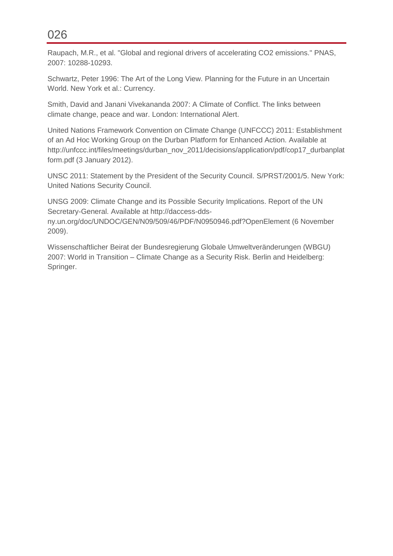Raupach, M.R., et al. "Global and regional drivers of accelerating CO2 emissions." PNAS, 2007: 10288-10293.

Schwartz, Peter 1996: The Art of the Long View. Planning for the Future in an Uncertain World. New York et al.: Currency.

Smith, David and Janani Vivekananda 2007: A Climate of Conflict. The links between climate change, peace and war. London: International Alert.

United Nations Framework Convention on Climate Change (UNFCCC) 2011: Establishment of an Ad Hoc Working Group on the Durban Platform for Enhanced Action. Available at http://unfccc.int/files/meetings/durban\_nov\_2011/decisions/application/pdf/cop17\_durbanplat form.pdf (3 January 2012).

UNSC 2011: Statement by the President of the Security Council. S/PRST/2001/5. New York: United Nations Security Council.

UNSG 2009: Climate Change and its Possible Security Implications. Report of the UN Secretary-General. Available at http://daccess-dds-

ny.un.org/doc/UNDOC/GEN/N09/509/46/PDF/N0950946.pdf?OpenElement (6 November 2009).

Wissenschaftlicher Beirat der Bundesregierung Globale Umweltveränderungen (WBGU) 2007: World in Transition – Climate Change as a Security Risk. Berlin and Heidelberg: Springer.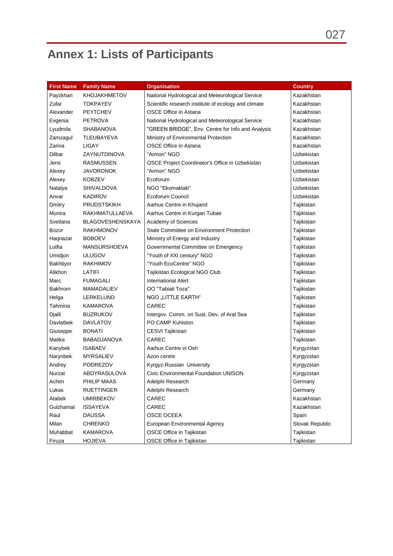# **Annex 1: Lists of Participants**

| <b>First Name</b> | <b>Family Name</b>      | <b>Organisation</b>                                  | <b>Country</b>    |
|-------------------|-------------------------|------------------------------------------------------|-------------------|
| Payzkhan          | <b>KHOJAKHMETOV</b>     | National Hydrological and Meteorological Service     | Kazakhstan        |
| Zufar             | <b>TOKPAYEV</b>         | Scientific research institute of ecology and climate | Kazakhstan        |
| Alexander         | <b>PEYTCHEV</b>         | OSCE Office in Astana                                | Kazakhstan        |
| Evgenia           | <b>PETROVA</b>          | National Hydrological and Meteorological Service     | Kazakhstan        |
| Lyudmila          | SHABANOVA               | "GREEN BRIDGE", Env. Centre for Info and Analysis    | Kazakhstan        |
| Zamzagul          | TLEUBAYEVA              | Ministry of Environmental Protection                 | Kazakhstan        |
| Zarina            | LIGAY                   | <b>OSCE Office in Astana</b>                         | Kazakhstan        |
| Dilbar            | ZAYNUTDINOVA            | "Armon" NGO                                          | Uzbekistan        |
| Jens              | <b>RASMUSSEN</b>        | OSCE Project Coordinator's Office in Uzbekistan      | Uzbekistan        |
| Alexey            | <b>JAVORONOK</b>        | "Armon" NGO                                          | Uzbekistan        |
| Alexey            | <b>KOBZEV</b>           | Ecoforum                                             | Uzbekistan        |
| Natalya           | <b>SHIVALDOVA</b>       | NGO "Ekomaktab"                                      | <b>Uzbekistan</b> |
| Anvar             | <b>KADIROV</b>          | Ecoforum Council                                     | <b>Uzbekistan</b> |
| Dmitry            | <b>PRUDSTSKIKH</b>      | Aarhus Centre in Khujand                             | Tajikistan        |
| Munira            | RAKHMATULLAEVA          | Aarhus Centre in Kurgan Tubae                        | Tajikistan        |
| Svetlana          | <b>BLAGOVESHENSKAYA</b> | Academy of Sciences                                  | Tajikistan        |
| Bozor             | <b>RAKHMONOV</b>        | State Committee on Environment Protection            | Tajikistan        |
| Haqnazar          | <b>BOBOEV</b>           | Ministry of Energy and Industry                      | Tajikistan        |
| Lutfia            | <b>MANSURSHOEVA</b>     | Governmental Committee on Emergency                  | Tajikistan        |
| Umidjon           | <b>ULUGOV</b>           | "Youth of XXI century" NGO                           | Tajikistan        |
| Bakhtiyor         | <b>RAKHIMOV</b>         | "Youth EcoCentre" NGO                                | Tajikistan        |
| Alikhon           | LATIFI                  | Tajikistan Ecological NGO Club                       | Tajikistan        |
| Marc              | <b>FUMAGALI</b>         | <b>International Alert</b>                           | Tajikistan        |
| Bakhrom           | MAMADALIEV              | OO "Tabiati Toza"                                    | Tajikistan        |
| Helga             | LERKELUND               | NGO "LITTLE EARTH"                                   | Tajikistan        |
| Tahmina           | KAMAROVA                | CAREC                                                | Tajikistan        |
| Djalil            | <b>BUZRUKOV</b>         | Intergov. Comm. on Sust. Dev. of Aral Sea            | Tajikistan        |
| <b>Davlatbek</b>  | <b>DAVLATOV</b>         | PO CAMP Kuhiston                                     | Tajikistan        |
| Giuseppe          | <b>BONATI</b>           | CESVI Tajikistan                                     | Tajikistan        |
| Malika            | <b>BABADJANOVA</b>      | CAREC                                                | Tajikistan        |
| Kanybek           | <b>ISABAEV</b>          | Aarhus Centre in Osh                                 | Kyrgyzstan        |
| Narynbek          | <b>MYRSALIEV</b>        | Azon centre                                          | Kyrgyzstan        |
| Andrey            | <b>PODREZOV</b>         | Kyrgyz-Russian University                            | Kyrgyzstan        |
| Nurzat            | ABDYRASULOVA            | Civic Environmental Foundation UNISON                | Kyrgyzstan        |
| Achim             | PHILIP MAAS             | Adelphi Research                                     | Germany           |
| Lukas             | <b>RUETTINGER</b>       | Adelphi Research                                     | Germany           |
| Atabek            | <b>UMIRBEKOV</b>        | CAREC                                                | Kazakhstan        |
| Gulzhamal         | <b>ISSAYEVA</b>         | CAREC                                                | Kazakhstan        |
| Raul              | <b>DAUSSA</b>           | OSCE OCEEA                                           | Spain             |
| Milan             | <b>CHRENKO</b>          | European Environmental Agency                        | Slovak Republic   |
| Muhabbat          | KAMAROVA                | OSCE Office in Tajikistan                            | Tajikistan        |
| Firuza            | <b>HOJIEVA</b>          | OSCE Office in Tajikistan                            | Tajikistan        |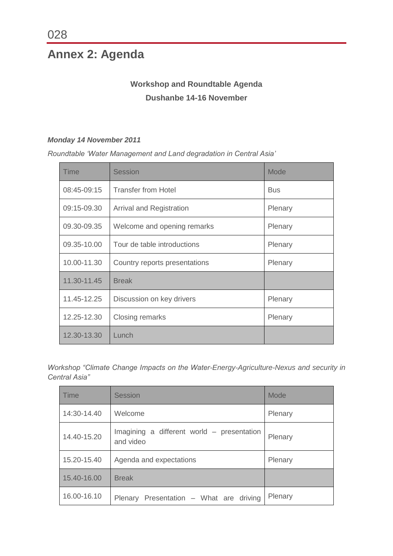# **Annex 2: Agenda**

# **Workshop and Roundtable Agenda Dushanbe 14-16 November**

# *Monday 14 November 2011*

*Roundtable 'Water Management and Land degradation in Central Asia'*

| Time        | <b>Session</b>                  | Mode       |
|-------------|---------------------------------|------------|
| 08:45-09:15 | <b>Transfer from Hotel</b>      | <b>Bus</b> |
| 09:15-09.30 | <b>Arrival and Registration</b> | Plenary    |
| 09.30-09.35 | Welcome and opening remarks     | Plenary    |
| 09.35-10.00 | Tour de table introductions     | Plenary    |
| 10.00-11.30 | Country reports presentations   | Plenary    |
| 11.30-11.45 | <b>Break</b>                    |            |
| 11.45-12.25 | Discussion on key drivers       | Plenary    |
| 12.25-12.30 | Closing remarks                 | Plenary    |
| 12.30-13.30 | Lunch                           |            |

*Workshop "Climate Change Impacts on the Water-Energy-Agriculture-Nexus and security in Central Asia"*

| <b>Time</b> | <b>Session</b>                                          | Mode    |
|-------------|---------------------------------------------------------|---------|
| 14:30-14.40 | Welcome                                                 | Plenary |
| 14.40-15.20 | Imagining a different world – presentation<br>and video | Plenary |
| 15.20-15.40 | Agenda and expectations                                 | Plenary |
| 15.40-16.00 | <b>Break</b>                                            |         |
| 16.00-16.10 | Plenary Presentation - What are driving                 | Plenary |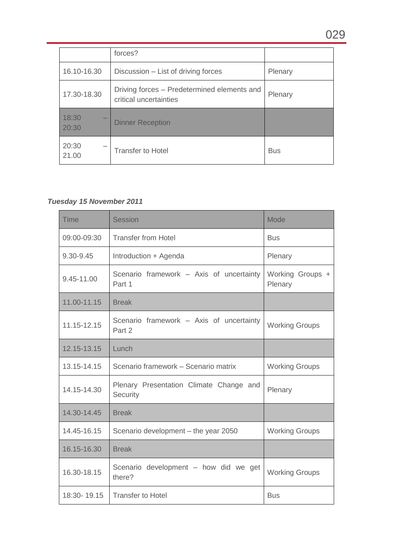|                | forces?                                                               |            |
|----------------|-----------------------------------------------------------------------|------------|
| 16.10-16.30    | Discussion – List of driving forces                                   | Plenary    |
| 17.30-18.30    | Driving forces – Predetermined elements and<br>critical uncertainties | Plenary    |
| 18:30<br>20:30 | <b>Dinner Reception</b>                                               |            |
| 20:30<br>21.00 | <b>Transfer to Hotel</b>                                              | <b>Bus</b> |

# *Tuesday 15 November 2011*

| <b>Time</b> | <b>Session</b>                                      | Mode                        |
|-------------|-----------------------------------------------------|-----------------------------|
| 09:00-09:30 | <b>Transfer from Hotel</b>                          | <b>Bus</b>                  |
| 9.30-9.45   | Introduction + Agenda                               | Plenary                     |
| 9.45-11.00  | Scenario framework - Axis of uncertainty<br>Part 1  | Working Groups +<br>Plenary |
| 11.00-11.15 | <b>Break</b>                                        |                             |
| 11.15-12.15 | Scenario framework - Axis of uncertainty<br>Part 2  | <b>Working Groups</b>       |
| 12.15-13.15 | Lunch                                               |                             |
| 13.15-14.15 | Scenario framework - Scenario matrix                | <b>Working Groups</b>       |
| 14.15-14.30 | Plenary Presentation Climate Change and<br>Security | Plenary                     |
| 14.30-14.45 | <b>Break</b>                                        |                             |
| 14.45-16.15 | Scenario development - the year 2050                | <b>Working Groups</b>       |
| 16.15-16.30 | <b>Break</b>                                        |                             |
| 16.30-18.15 | Scenario development - how did we get<br>there?     | <b>Working Groups</b>       |
| 18:30-19.15 | <b>Transfer to Hotel</b>                            | <b>Bus</b>                  |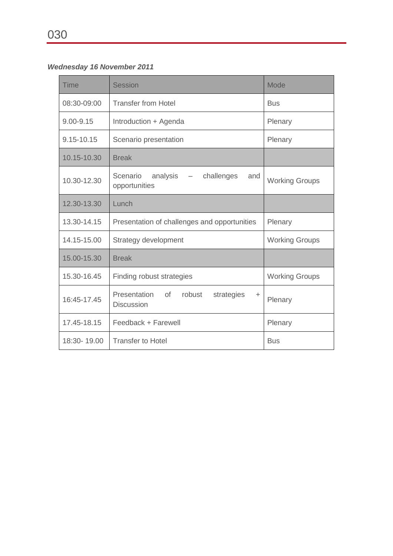# *Wednesday 16 November 2011*

| <b>Time</b>   | <b>Session</b>                                                               | <b>Mode</b>           |
|---------------|------------------------------------------------------------------------------|-----------------------|
| 08:30-09:00   | <b>Transfer from Hotel</b>                                                   | <b>Bus</b>            |
| $9.00 - 9.15$ | Introduction + Agenda                                                        | Plenary               |
| 9.15-10.15    | Scenario presentation                                                        | Plenary               |
| 10.15-10.30   | <b>Break</b>                                                                 |                       |
| 10.30-12.30   | Scenario<br>analysis $-$<br>challenges<br>and<br>opportunities               | <b>Working Groups</b> |
| 12.30-13.30   | Lunch                                                                        |                       |
| 13.30-14.15   | Presentation of challenges and opportunities                                 | Plenary               |
| 14.15-15.00   | Strategy development                                                         | <b>Working Groups</b> |
| 15.00-15.30   | <b>Break</b>                                                                 |                       |
| 15.30-16.45   | Finding robust strategies                                                    | <b>Working Groups</b> |
| 16:45-17.45   | Presentation<br><b>of</b><br>robust<br>strategies<br>÷.<br><b>Discussion</b> | Plenary               |
| 17.45-18.15   | Feedback + Farewell                                                          | Plenary               |
| 18:30-19.00   | <b>Transfer to Hotel</b>                                                     | <b>Bus</b>            |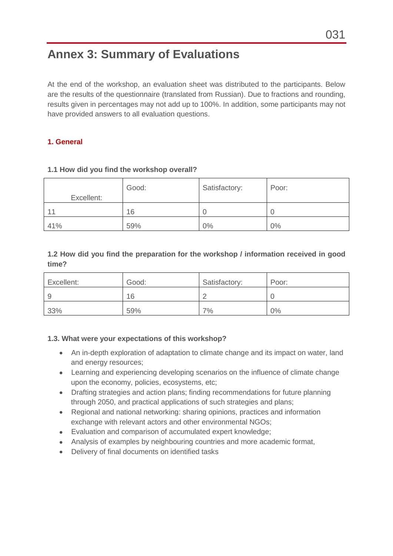# **Annex 3: Summary of Evaluations**

At the end of the workshop, an evaluation sheet was distributed to the participants. Below are the results of the questionnaire (translated from Russian). Due to fractions and rounding, results given in percentages may not add up to 100%. In addition, some participants may not have provided answers to all evaluation questions.

#### **1. General**

| Excellent: | Good: | Satisfactory: | Poor: |
|------------|-------|---------------|-------|
| 11         | 16    |               | U     |
| 41%        | 59%   | 0%            | $0\%$ |

#### **1.1 How did you find the workshop overall?**

### **1.2 How did you find the preparation for the workshop / information received in good time?**

| Excellent: | Good: | Satisfactory: | Poor: |
|------------|-------|---------------|-------|
| 9          | 16    |               |       |
| 33%        | 59%   | 7%            | $0\%$ |

#### **1.3. What were your expectations of this workshop?**

- An in-depth exploration of adaptation to climate change and its impact on water, land and energy resources;
- Learning and experiencing developing scenarios on the influence of climate change upon the economy, policies, ecosystems, etc;
- Drafting strategies and action plans; finding recommendations for future planning through 2050, and practical applications of such strategies and plans;
- $\bullet$ Regional and national networking: sharing opinions, practices and information exchange with relevant actors and other environmental NGOs;
- Evaluation and comparison of accumulated expert knowledge;
- Analysis of examples by neighbouring countries and more academic format,
- Delivery of final documents on identified tasks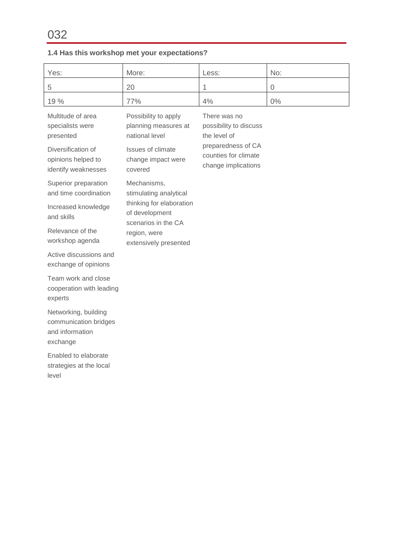# **1.4 Has this workshop met your expectations?**

| Yes:                                                                         | More:                                                             | Less:                                                             | No:         |  |
|------------------------------------------------------------------------------|-------------------------------------------------------------------|-------------------------------------------------------------------|-------------|--|
| 5                                                                            | 20                                                                | 1                                                                 | $\mathbf 0$ |  |
| 19 %                                                                         | 77%                                                               | 4%                                                                | $0\%$       |  |
| Multitude of area<br>specialists were<br>presented                           | Possibility to apply<br>planning measures at<br>national level    | There was no<br>possibility to discuss<br>the level of            |             |  |
| Diversification of<br>opinions helped to<br>identify weaknesses              | Issues of climate<br>change impact were<br>covered                | preparedness of CA<br>counties for climate<br>change implications |             |  |
| Superior preparation<br>and time coordination                                | Mechanisms,<br>stimulating analytical                             |                                                                   |             |  |
| Increased knowledge<br>and skills                                            | thinking for elaboration<br>of development<br>scenarios in the CA |                                                                   |             |  |
| Relevance of the<br>workshop agenda                                          | region, were<br>extensively presented                             |                                                                   |             |  |
| Active discussions and<br>exchange of opinions                               |                                                                   |                                                                   |             |  |
| Team work and close<br>cooperation with leading<br>experts                   |                                                                   |                                                                   |             |  |
| Networking, building<br>communication bridges<br>and information<br>exchange |                                                                   |                                                                   |             |  |
| Enabled to elaborate<br>strategies at the local<br>level                     |                                                                   |                                                                   |             |  |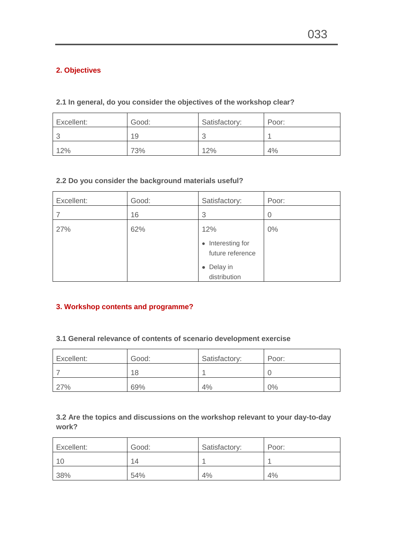## **2. Objectives**

#### **2.1 In general, do you consider the objectives of the workshop clear?**

| Excellent: | Good: | Satisfactory: | Poor: |
|------------|-------|---------------|-------|
|            | 19    |               |       |
| 12%        | 73%   | 12%           | 4%    |

#### **2.2 Do you consider the background materials useful?**

| Excellent: | Good: | Satisfactory:                         | Poor:          |
|------------|-------|---------------------------------------|----------------|
|            | 16    | 3                                     | $\overline{0}$ |
| 27%        | 62%   | 12%                                   | $0\%$          |
|            |       | • Interesting for<br>future reference |                |
|            |       | • Delay in<br>distribution            |                |

#### **3. Workshop contents and programme?**

## **3.1 General relevance of contents of scenario development exercise**

| Excellent: | Good: | Satisfactory: | Poor: |
|------------|-------|---------------|-------|
|            | 18    |               |       |
| 27%        | 69%   | 4%            | 0%    |

## **3.2 Are the topics and discussions on the workshop relevant to your day-to-day work?**

| Excellent: | Good: | Satisfactory: | Poor: |
|------------|-------|---------------|-------|
| -10        | 14    |               |       |
| 38%        | 54%   | 4%            | 4%    |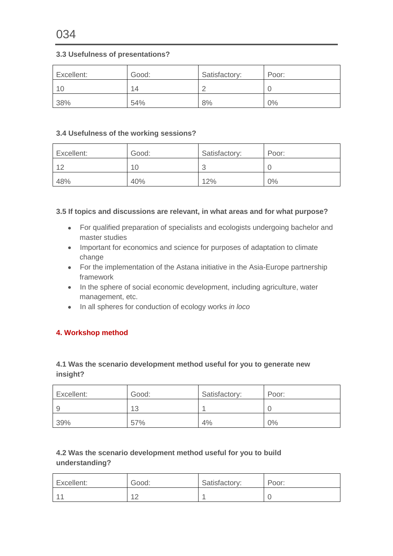#### **3.3 Usefulness of presentations?**

| Excellent: | Good: | Satisfactory: | Poor: |
|------------|-------|---------------|-------|
| 10         | 14    |               |       |
| 38%        | 54%   | 8%            | $0\%$ |

#### **3.4 Usefulness of the working sessions?**

| Excellent: | Good: | Satisfactory: | Poor: |
|------------|-------|---------------|-------|
| $\sim$     |       |               |       |
| 48%        | 40%   | 12%           | 0%    |

#### **3.5 If topics and discussions are relevant, in what areas and for what purpose?**

- For qualified preparation of specialists and ecologists undergoing bachelor and master studies
- Important for economics and science for purposes of adaptation to climate change
- For the implementation of the Astana initiative in the Asia-Europe partnership framework
- In the sphere of social economic development, including agriculture, water management, etc.
- In all spheres for conduction of ecology works *in loco*

#### **4. Workshop method**

#### **4.1 Was the scenario development method useful for you to generate new insight?**

| Excellent: | Good: | Satisfactory: | Poor: |
|------------|-------|---------------|-------|
| -9         | 13    |               |       |
| 39%        | 57%   | 4%            | 0%    |

### **4.2 Was the scenario development method useful for you to build understanding?**

| Excellent: | Good:         | Satisfactory: | Poor: |
|------------|---------------|---------------|-------|
| $-44$      | $\sim$<br>. . |               |       |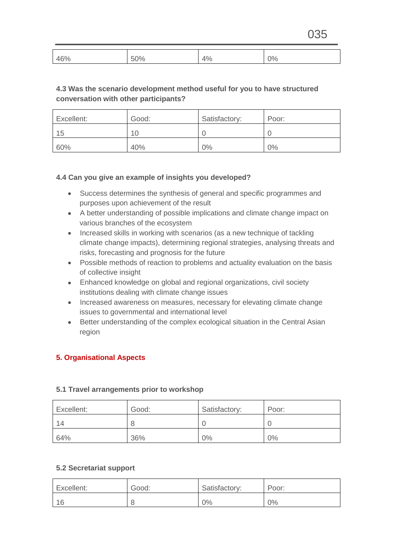| $\Delta$ <sub>60</sub><br><br>76. | ገ0.<br>v | $\sim$<br>л | 0٥/<br>7C |
|-----------------------------------|----------|-------------|-----------|
|-----------------------------------|----------|-------------|-----------|

### **4.3 Was the scenario development method useful for you to have structured conversation with other participants?**

| Excellent: | Good: | Satisfactory: | Poor: |
|------------|-------|---------------|-------|
| 15         | 10    |               |       |
| 60%        | 40%   | 0%            | 0%    |

#### **4.4 Can you give an example of insights you developed?**

- Success determines the synthesis of general and specific programmes and purposes upon achievement of the result
- A better understanding of possible implications and climate change impact on various branches of the ecosystem
- Increased skills in working with scenarios (as a new technique of tackling climate change impacts), determining regional strategies, analysing threats and risks, forecasting and prognosis for the future
- Possible methods of reaction to problems and actuality evaluation on the basis of collective insight
- Enhanced knowledge on global and regional organizations, civil society institutions dealing with climate change issues
- Increased awareness on measures, necessary for elevating climate change issues to governmental and international level
- Better understanding of the complex ecological situation in the Central Asian region

#### **5. Organisational Aspects**

#### **5.1 Travel arrangements prior to workshop**

| Excellent: | Good: | Satisfactory: | Poor: |
|------------|-------|---------------|-------|
| -14        | 8     |               |       |
| 64%        | 36%   | 0%            | $0\%$ |

#### **5.2 Secretariat support**

| Excellent: | Good: | Satisfactory: | Poor: |
|------------|-------|---------------|-------|
| -16        |       | 0%            | $0\%$ |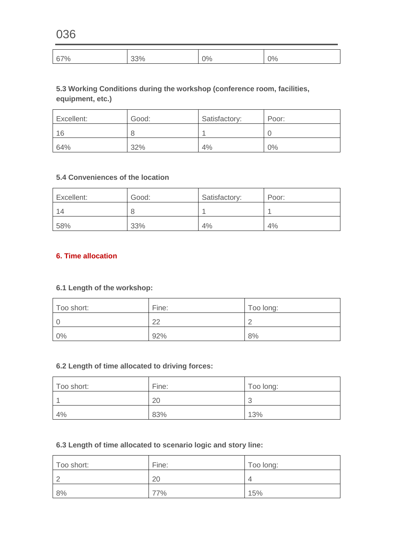| 67% | 7 U | ∩٥ | 0% |
|-----|-----|----|----|
| 7 U | ້   | 70 |    |

## **5.3 Working Conditions during the workshop (conference room, facilities, equipment, etc.)**

| Excellent: | Good: | Satisfactory: | Poor: |
|------------|-------|---------------|-------|
| 16         | 8     |               |       |
| 64%        | 32%   | 4%            | 0%    |

#### **5.4 Conveniences of the location**

| Excellent: | Good: | Satisfactory: | Poor: |
|------------|-------|---------------|-------|
| -14        | 8     |               |       |
| 58%        | 33%   | 4%            | 4%    |

#### **6. Time allocation**

### **6.1 Length of the workshop:**

| Too short: | Fine: | Too long: |
|------------|-------|-----------|
|            | ററ    |           |
| $0\%$      | 92%   | 8%        |

### **6.2 Length of time allocated to driving forces:**

| Too short: | Fine: | Too long:       |
|------------|-------|-----------------|
|            | 20    | $\sqrt{2}$<br>w |
| 4%         | 83%   | 13%             |

### **6.3 Length of time allocated to scenario logic and story line:**

| Too short: | Fine: | Too long: |
|------------|-------|-----------|
|            | 20    |           |
| 8%         | 77%   | 15%       |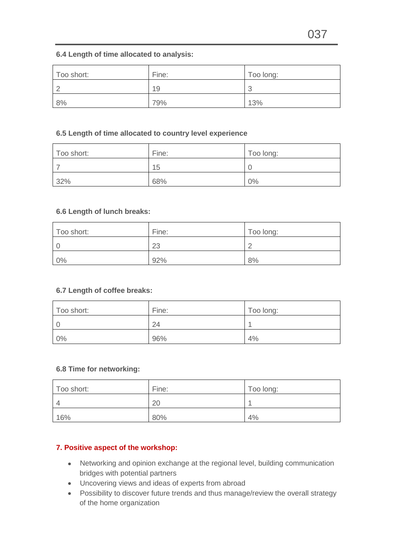#### **6.4 Length of time allocated to analysis:**

| Too short: | Fine: | Too long:                     |
|------------|-------|-------------------------------|
| ⌒<br>∼     | 19    | r<br>$\overline{\phantom{a}}$ |
| 8%         | 79%   | 13%                           |

#### **6.5 Length of time allocated to country level experience**

| Too short: | Fine: | Too long: |
|------------|-------|-----------|
|            | 15    |           |
| 32%        | 68%   | 0%        |

#### **6.6 Length of lunch breaks:**

| Too short: | Fine: | Too long: |
|------------|-------|-----------|
|            | າາ    |           |
| 0%         | 92%   | 8%        |

#### **6.7 Length of coffee breaks:**

| Too short: | Fine: | Too long: |
|------------|-------|-----------|
|            | 24    |           |
| $0\%$      | 96%   | 4%        |

#### **6.8 Time for networking:**

| Too short: | Fine: | Too long: |
|------------|-------|-----------|
| $\Delta$   | 20    |           |
| 16%        | 80%   | 4%        |

#### **7. Positive aspect of the workshop:**

- Networking and opinion exchange at the regional level, building communication bridges with potential partners
- Uncovering views and ideas of experts from abroad
- Possibility to discover future trends and thus manage/review the overall strategy of the home organization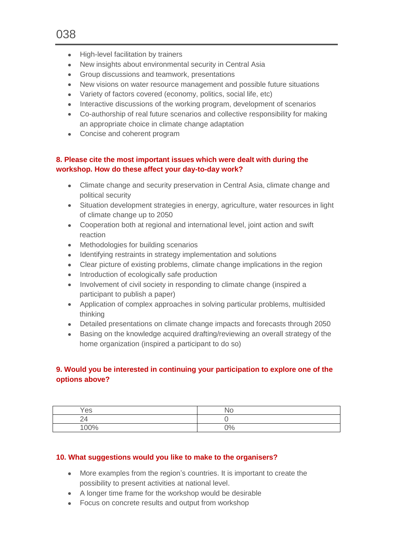038

- High-level facilitation by trainers
- New insights about environmental security in Central Asia
- Group discussions and teamwork, presentations
- New visions on water resource management and possible future situations
- Variety of factors covered (economy, politics, social life, etc)
- Interactive discussions of the working program, development of scenarios
- Co-authorship of real future scenarios and collective responsibility for making an appropriate choice in climate change adaptation
- Concise and coherent program

#### **8. Please cite the most important issues which were dealt with during the workshop. How do these affect your day-to-day work?**

- Climate change and security preservation in Central Asia, climate change and political security
- Situation development strategies in energy, agriculture, water resources in light of climate change up to 2050
- Cooperation both at regional and international level, joint action and swift reaction
- Methodologies for building scenarios
- Identifying restraints in strategy implementation and solutions
- Clear picture of existing problems, climate change implications in the region
- Introduction of ecologically safe production
- Involvement of civil society in responding to climate change (inspired a participant to publish a paper)
- Application of complex approaches in solving particular problems, multisided thinking
- Detailed presentations on climate change impacts and forecasts through 2050
- Basing on the knowledge acquired drafting/reviewing an overall strategy of the home organization (inspired a participant to do so)

### **9. Would you be interested in continuing your participation to explore one of the options above?**

| Yes                        | N۵    |
|----------------------------|-------|
| $\overline{\Lambda}$<br>24 |       |
| 00%                        | $0\%$ |

#### **10. What suggestions would you like to make to the organisers?**

- More examples from the region's countries. It is important to create the possibility to present activities at national level.
- A longer time frame for the workshop would be desirable
- Focus on concrete results and output from workshop